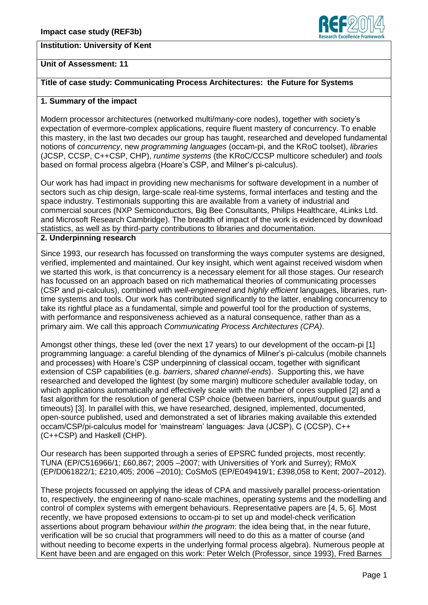# **Institution: University of Kent**



## **Unit of Assessment: 11**

## **Title of case study: Communicating Process Architectures: the Future for Systems**

### **1. Summary of the impact**

Modern processor architectures (networked multi/many-core nodes), together with society's expectation of evermore-complex applications, require fluent mastery of concurrency. To enable this mastery, in the last two decades our group has taught, researched and developed fundamental notions of *concurrency*, new *programming languages* (occam-pi, and the KRoC toolset), *libraries* (JCSP, CCSP, C++CSP, CHP), *runtime systems* (the KRoC/CCSP multicore scheduler) and *tools* based on formal process algebra (Hoare's CSP, and Milner's pi-calculus).

Our work has had impact in providing new mechanisms for software development in a number of sectors such as chip design, large-scale real-time systems, formal interfaces and testing and the space industry. Testimonials supporting this are available from a variety of industrial and commercial sources (NXP Semiconductors, Big Bee Consultants, Philips Healthcare, 4Links Ltd. and Microsoft Research Cambridge). The breadth of impact of the work is evidenced by download statistics, as well as by third-party contributions to libraries and documentation.

#### **2. Underpinning research**

Since 1993, our research has focussed on transforming the ways computer systems are designed, verified, implemented and maintained. Our key insight, which went against received wisdom when we started this work, is that concurrency is a necessary element for all those stages. Our research has focussed on an approach based on rich mathematical theories of communicating processes (CSP and pi-calculus), combined with *well-engineered* and *highly efficient* languages, libraries, runtime systems and tools. Our work has contributed significantly to the latter, enabling concurrency to take its rightful place as a fundamental, simple and powerful tool for the production of systems, with performance and responsiveness achieved as a natural consequence, rather than as a primary aim. We call this approach *Communicating Process Architectures (CPA)*.

Amongst other things, these led (over the next 17 years) to our development of the occam-pi [1] programming language: a careful blending of the dynamics of Milner's pi-calculus (mobile channels and processes) with Hoare's CSP underpinning of classical occam, together with significant extension of CSP capabilities (e.g. *barriers*, *shared channel-ends*). Supporting this, we have researched and developed the lightest (by some margin) multicore scheduler available today, on which applications automatically and effectively scale with the number of cores supplied [2] and a fast algorithm for the resolution of general CSP choice (between barriers, input/output guards and timeouts) [3]. In parallel with this, we have researched, designed, implemented, documented, open-source published, used and demonstrated a set of libraries making available this extended occam/CSP/pi-calculus model for 'mainstream' languages: Java (JCSP), C (CCSP), C++ (C++CSP) and Haskell (CHP).

Our research has been supported through a series of EPSRC funded projects, most recently: TUNA (EP/C516966/1; £60,867; 2005 –2007; with Universities of York and Surrey); RMoX (EP/D061822/1; £210,405; 2006 –2010); CoSMoS (EP/E049419/1; £398,058 to Kent; 2007–2012).

These projects focussed on applying the ideas of CPA and massively parallel process-orientation to, respectively, the engineering of nano-scale machines, operating systems and the modelling and control of complex systems with emergent behaviours. Representative papers are [4, 5, 6]. Most recently, we have proposed extensions to occam-pi to set up and model-check verification assertions about program behaviour *within the program*: the idea being that, in the near future, verification will be so crucial that programmers will need to do this as a matter of course (and without needing to become experts in the underlying formal process algebra). Numerous people at Kent have been and are engaged on this work: Peter Welch (Professor, since 1993), Fred Barnes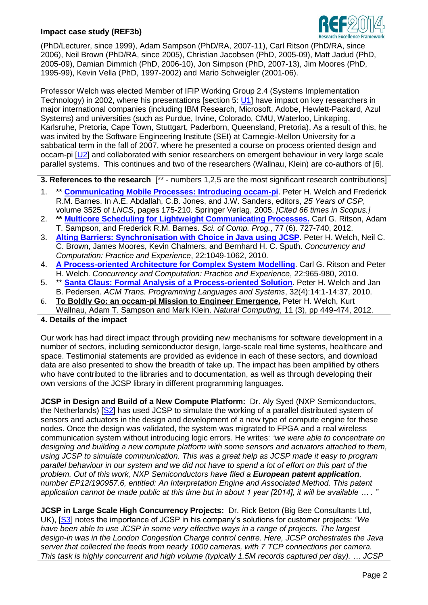

(PhD/Lecturer, since 1999), Adam Sampson (PhD/RA, 2007-11), Carl Ritson (PhD/RA, since 2006), Neil Brown (PhD/RA, since 2005), Christian Jacobsen (PhD, 2005-09), Matt Jadud (PhD, 2005-09), Damian Dimmich (PhD, 2006-10), Jon Simpson (PhD, 2007-13), Jim Moores (PhD, 1995-99), Kevin Vella (PhD, 1997-2002) and Mario Schweigler (2001-06).

Professor Welch was elected Member of IFIP Working Group 2.4 (Systems Implementation Technology) in 2002, where his presentations [section 5: [U1\]](https://www.cs.kent.ac.uk/research/groups/plas/wiki/IFIP_WG24) have impact on key researchers in major international companies (including IBM Research, Microsoft, Adobe, Hewlett-Packard, Azul Systems) and universities (such as Purdue, Irvine, Colorado, CMU, Waterloo, Linkøping, Karlsruhe, Pretoria, Cape Town, Stuttgart, Paderborn, Queensland, Pretoria). As a result of this, he was invited by the Software Engineering Institute (SEI) at Carnegie-Mellon University for a sabbatical term in the fall of 2007, where he presented a course on process oriented design and occam-pi [\[U2\]](http://www.cs.kent.ac.uk/projects/ofa/sei-cmu/) and collaborated with senior researchers on emergent behaviour in very large scale parallel systems. This continues and two of the researchers (Wallnau, Klein) are co-authors of [6].

**3. References to the research** [\*\* - numbers 1,2,5 are the most significant research contributions]

- 1. \*\* **[Communicating Mobile Processes: Introducing occam-pi](http://www.cs.kent.ac.uk/pubs/2005/2162/index.html)**. Peter H. Welch and Frederick R.M. Barnes. In A.E. Abdallah, C.B. Jones, and J.W. Sanders, editors, *25 Years of CSP*, volume 3525 of *LNCS*, pages 175-210. Springer Verlag, 2005. *[Cited 66 times in Scopus.]*
- 2. **\*\* [Multicore Scheduling for Lightweight Communicating Processes.](http://www.cs.kent.ac.uk/pubs/2012/3210/)** Carl G. Ritson, Adam T. Sampson, and Frederick R.M. Barnes. *Sci. of Comp. Prog.*, 77 (6). 727-740, 2012.
- 3. **[Alting Barriers: Synchronisation with Choice in Java using JCSP](http://www.cs.kent.ac.uk/pubs/2010/3068/index.html)**. Peter H. Welch, Neil C. C. Brown, James Moores, Kevin Chalmers, and Bernhard H. C. Sputh. *Concurrency and Computation: Practice and Experience*, 22:1049-1062, 2010.
- 4. **[A Process-oriented Architecture for Complex System Modelling](http://www.cs.kent.ac.uk/pubs/2010/3066/index.html)**. Carl G. Ritson and Peter H. Welch. *Concurrency and Computation: Practice and Experience*, 22:965-980, 2010.
- 5. \*\* **[Santa Claus: Formal Analysis of a Process-oriented Solution](http://www.cs.kent.ac.uk/pubs/2010/3065/index.html)**. Peter H. Welch and Jan B. Pedersen. *ACM Trans. Programming Languages and Systems*, 32(4):14:1-14:37, 2010.
- 6. **To Boldly Go: an occam-pi [Mission to Engineer Emergence.](http://www.cs.kent.ac.uk/pubs/2012/3217/)** Peter H. Welch, Kurt Wallnau, Adam T. Sampson and Mark Klein. *Natural Computing*, 11 (3), pp 449-474, 2012.
- **4. Details of the impact**

Our work has had direct impact through providing new mechanisms for software development in a number of sectors, including semiconductor design, large-scale real time systems, healthcare and space. Testimonial statements are provided as evidence in each of these sectors, and download data are also presented to show the breadth of take up. The impact has been amplified by others who have contributed to the libraries and to documentation, as well as through developing their own versions of the JCSP library in different programming languages.

**JCSP in Design and Build of a New Compute Platform:** Dr. Aly Syed (NXP Semiconductors, the Netherlands) [\[S2\]](http://www.cs.kent.ac.uk/research/REF2014/Syed.txt) has used JCSP to simulate the working of a parallel distributed system of sensors and actuators in the design and development of a new type of compute engine for these nodes. Once the design was validated, the system was migrated to FPGA and a real wireless communication system without introducing logic errors. He writes: "*we were able to concentrate on designing and building a new compute platform with some sensors and actuators attached to them, using JCSP to simulate communication. This was a great help as JCSP made it easy to program parallel behaviour in our system and we did not have to spend a lot of effort on this part of the problem. Out of this work, NXP Semiconductors have filed a European patent application, number EP12/190957.6, entitled: An Interpretation Engine and Associated Method. This patent application cannot be made public at this time but in about 1 year [2014], it will be available … . "*

**JCSP in Large Scale High Concurrency Projects:** Dr. Rick Beton (Big Bee Consultants Ltd, UK), [\[S3\]](http://www.cs.kent.ac.uk/research/REF2014/Beton.txt) notes the importance of JCSP in his company's solutions for customer projects: *"We have been able to use JCSP in some very effective ways in a range of projects. The largest design-in was in the London Congestion Charge control centre. Here, JCSP orchestrates the Java server that collected the feeds from nearly 1000 cameras, with 7 TCP connections per camera. This task is highly concurrent and high volume (typically 1.5M records captured per day). … JCSP*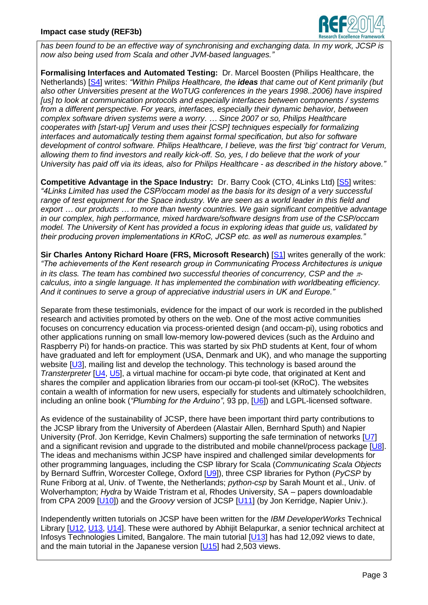

*has been found to be an effective way of synchronising and exchanging data. In my work, JCSP is now also being used from Scala and other JVM-based languages."*

**Formalising Interfaces and Automated Testing:** Dr. Marcel Boosten (Philips Healthcare, the Netherlands) [\[S4\]](http://www.cs.kent.ac.uk/research/REF2014/Boosten.txt) writes: *"Within Philips Healthcare, the ideas that came out of Kent primarily (but also other Universities present at the WoTUG conferences in the years 1998..2006) have inspired [us] to look at communication protocols and especially interfaces between components / systems from a different perspective. For years, interfaces, especially their dynamic behavior, between complex software driven systems were a worry. … Since 2007 or so, Philips Healthcare cooperates with [start-up] Verum and uses their [CSP] techniques especially for formalizing interfaces and automatically testing them against formal specification, but also for software development of control software. Philips Healthcare, I believe, was the first 'big' contract for Verum, allowing them to find investors and really kick-off. So, yes, I do believe that the work of your University has paid off via its ideas, also for Philips Healthcare - as described in the history above."*

**Competitive Advantage in the Space Industry:** Dr. Barry Cook (CTO, 4Links Ltd) [\[S5\]](http://www.cs.kent.ac.uk/research/REF2014/Cook.txt) writes: *"4Links Limited has used the CSP/occam model as the basis for its design of a very successful range of test equipment for the Space industry. We are seen as a world leader in this field and export … our products … to more than twenty countries. We gain significant competitive advantage in our complex, high performance, mixed hardware/software designs from use of the CSP/occam model. The University of Kent has provided a focus in exploring ideas that guide us, validated by their producing proven implementations in KRoC, JCSP etc. as well as numerous examples."*

**Sir Charles Antony Richard Hoare (FRS, Microsoft Research) [\[S1\]](http://www.cs.kent.ac.uk/research/REF2014/Hoare.txt) writes generally of the work:** *"The achievements of the Kent research group in Communicating Process Architectures is unique in its class. The team has combined two successful theories of concurrency, CSP and the*  $\pi$ *calculus, into a single language. It has implemented the combination with worldbeating efficiency. And it continues to serve a group of appreciative industrial users in UK and Europe."*

Separate from these testimonials, evidence for the impact of our work is recorded in the published research and activities promoted by others on the web. One of the most active communities focuses on concurrency education via process-oriented design (and occam-pi), using robotics and other applications running on small low-memory low-powered devices (such as the Arduino and Raspberry Pi) for hands-on practice. This was started by six PhD students at Kent, four of whom have graduated and left for employment (USA, Denmark and UK), and who manage the supporting website [\[U3\]](http://concurrency.cc/), mailing list and develop the technology. This technology is based around the *Transterpreter* [\[U4,](http://www.transterpreter.org/) [U5\]](http://www.wotug.org/paperdb/send_file.php?num=126), a virtual machine for occam-pi byte code, that originated at Kent and shares the compiler and application libraries from our occam-pi tool-set (KRoC). The websites contain a wealth of information for new users, especially for students and ultimately schoolchildren, including an online book (*"Plumbing for the Arduino"*, 93 pp, [\[U6\]](http://concurrency.cc/pdf/plumbing-for-the-arduino.pdf)) and LGPL-licensed software.

As evidence of the sustainability of JCSP, there have been important third party contributions to the JCSP library from the University of Aberdeen (Alastair Allen, Bernhard Sputh) and Napier University (Prof. Jon Kerridge, Kevin Chalmers) supporting the safe termination of networks [\[U7\]](http://www.wotug.org/paperdb/send_file.php?num=214) and a significant revision and upgrade to the distributed and mobile channel/process package [\[U8\]](http://www.wotug.org/papers/CPA-2009/ChalmersKerridge09/ChalmersKerridge09.pdf). The ideas and mechanisms within JCSP have inspired and challenged similar developments for other programming languages, including the CSP library for Scala (*Communicating Scala Objects* by Bernard Suffrin, Worcester College, Oxford [\[U9\]](http://www.cs.ox.ac.uk/people/bernard.sufrin/CSO/cpa2008-cso.pdf)), three CSP libraries for Python (*PyCSP* by Rune Friborg at al, Univ. of Twente, the Netherlands; *python-csp* by Sarah Mount et al., Univ. of Wolverhampton; *Hydra* by Waide Tristram et al, Rhodes University, SA – papers downloadable from CPA 2009 [\[U10\]](http://www.wotug.org/paperdb/show_proc.php?f=4&num=27)) and the *Groovy* version of JCSP [\[U11\]](http://www.soc.napier.ac.uk/~cs10/#_Toc314839707) (by Jon Kerridge, Napier Univ.).

Independently written tutorials on JCSP have been written for the *IBM DeveloperWorks* Technical Library [\[U12,](http://www.ibm.com/developerworks/java/library/j-csp1/) [U13,](http://www.ibm.com/developerworks/java/library/j-csp2/) [U14\]](http://www.ibm.com/developerworks/java/library/j-csp3/). These were authored by Abhijit Belapurkar, a senior technical architect at Infosys Technologies Limited, Bangalore. The main tutorial [\[U13\]](http://www.ibm.com/developerworks/java/library/j-csp2/) has had 12,092 views to date, and the main tutorial in the Japanese version [\[U15\]](http://www.ibm.com/developerworks/jp/java/library/j-csp2/) had 2,503 views.